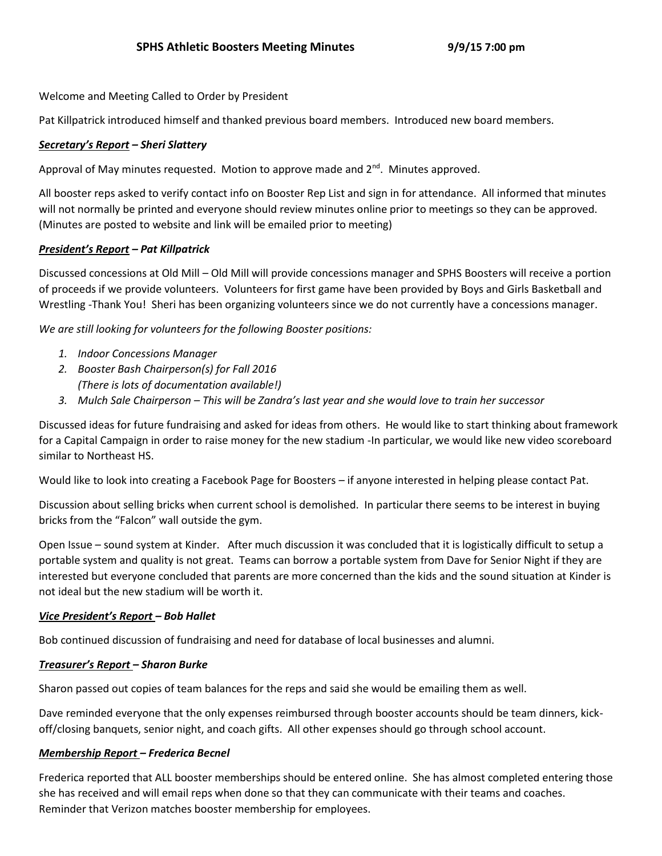# Welcome and Meeting Called to Order by President

Pat Killpatrick introduced himself and thanked previous board members. Introduced new board members.

# *Secretary's Report – Sheri Slattery*

Approval of May minutes requested. Motion to approve made and  $2<sup>nd</sup>$ . Minutes approved.

All booster reps asked to verify contact info on Booster Rep List and sign in for attendance. All informed that minutes will not normally be printed and everyone should review minutes online prior to meetings so they can be approved. (Minutes are posted to website and link will be emailed prior to meeting)

# *President's Report – Pat Killpatrick*

Discussed concessions at Old Mill – Old Mill will provide concessions manager and SPHS Boosters will receive a portion of proceeds if we provide volunteers. Volunteers for first game have been provided by Boys and Girls Basketball and Wrestling -Thank You! Sheri has been organizing volunteers since we do not currently have a concessions manager.

*We are still looking for volunteers for the following Booster positions:*

- *1. Indoor Concessions Manager*
- *2. Booster Bash Chairperson(s) for Fall 2016 (There is lots of documentation available!)*
- *3. Mulch Sale Chairperson – This will be Zandra's last year and she would love to train her successor*

Discussed ideas for future fundraising and asked for ideas from others. He would like to start thinking about framework for a Capital Campaign in order to raise money for the new stadium -In particular, we would like new video scoreboard similar to Northeast HS.

Would like to look into creating a Facebook Page for Boosters – if anyone interested in helping please contact Pat.

Discussion about selling bricks when current school is demolished. In particular there seems to be interest in buying bricks from the "Falcon" wall outside the gym.

Open Issue – sound system at Kinder. After much discussion it was concluded that it is logistically difficult to setup a portable system and quality is not great. Teams can borrow a portable system from Dave for Senior Night if they are interested but everyone concluded that parents are more concerned than the kids and the sound situation at Kinder is not ideal but the new stadium will be worth it.

### *Vice President's Report – Bob Hallet*

Bob continued discussion of fundraising and need for database of local businesses and alumni.

### *Treasurer's Report – Sharon Burke*

Sharon passed out copies of team balances for the reps and said she would be emailing them as well.

Dave reminded everyone that the only expenses reimbursed through booster accounts should be team dinners, kickoff/closing banquets, senior night, and coach gifts. All other expenses should go through school account.

### *Membership Report – Frederica Becnel*

Frederica reported that ALL booster memberships should be entered online. She has almost completed entering those she has received and will email reps when done so that they can communicate with their teams and coaches. Reminder that Verizon matches booster membership for employees.